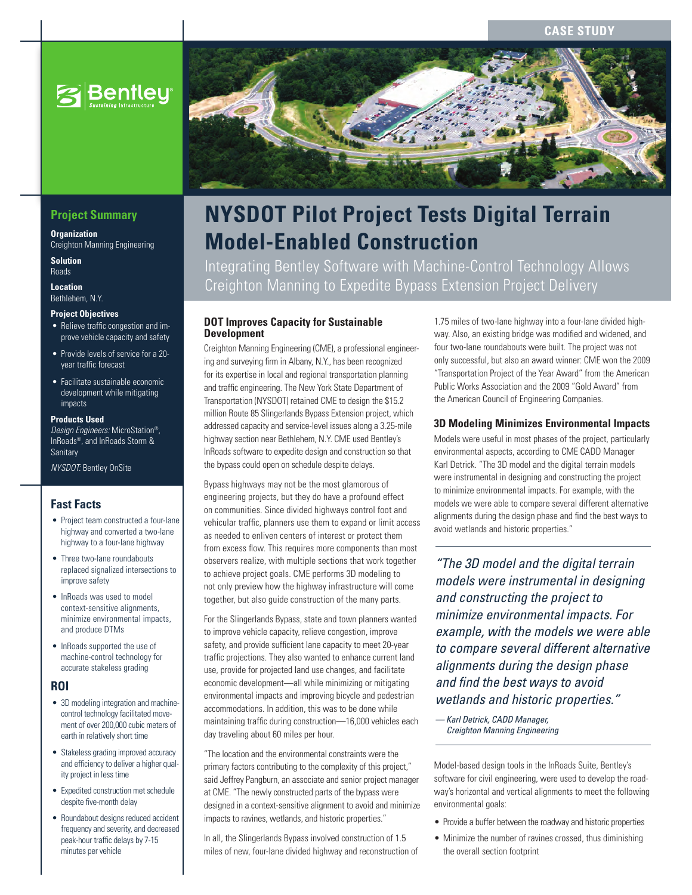## **Case Study**



# **Project Summary**

**Organization** Creighton Manning Engineering

**Solution** Roads

**Location** Bethlehem, N.Y.

#### **Project Objectives**

- Relieve traffic congestion and improve vehicle capacity and safety
- • Provide levels of service for a 20 year traffic forecast
- • Facilitate sustainable economic development while mitigating impacts

#### **Products Used**

*Design Engineers:* MicroStation®, InRoads®, and InRoads Storm & **Sanitary** 

*NYSDOT:* Bentley OnSite

#### **Fast Facts**

- Project team constructed a four-lane highway and converted a two-lane highway to a four-lane highway
- Three two-lane roundabouts replaced signalized intersections to improve safety
- • InRoads was used to model context-sensitive alignments, minimize environmental impacts, and produce DTMs
- • InRoads supported the use of machine-control technology for accurate stakeless grading

#### **ROI**

- 3D modeling integration and machinecontrol technology facilitated movement of over 200,000 cubic meters of earth in relatively short time
- Stakeless grading improved accuracy and efficiency to deliver a higher quality project in less time
- • Expedited construction met schedule despite five-month delay
- Roundabout designs reduced accident frequency and severity, and decreased peak-hour traffic delays by 7-15 minutes per vehicle



# **NYSDOT Pilot Project Tests Digital Terrain Model-Enabled Construction**

Integrating Bentley Software with Machine-Control Technology Allows Creighton Manning to Expedite Bypass Extension Project Delivery

#### **DOT Improves Capacity for Sustainable Development**

Creighton Manning Engineering (CME), a professional engineering and surveying firm in Albany, N.Y., has been recognized for its expertise in local and regional transportation planning and traffic engineering. The New York State Department of Transportation (NYSDOT) retained CME to design the \$15.2 million Route 85 Slingerlands Bypass Extension project, which addressed capacity and service-level issues along a 3.25-mile highway section near Bethlehem, N.Y. CME used Bentley's InRoads software to expedite design and construction so that the bypass could open on schedule despite delays.

Bypass highways may not be the most glamorous of engineering projects, but they do have a profound effect on communities. Since divided highways control foot and vehicular traffic, planners use them to expand or limit access as needed to enliven centers of interest or protect them from excess flow. This requires more components than most observers realize, with multiple sections that work together to achieve project goals. CME performs 3D modeling to not only preview how the highway infrastructure will come together, but also guide construction of the many parts.

For the Slingerlands Bypass, state and town planners wanted to improve vehicle capacity, relieve congestion, improve safety, and provide sufficient lane capacity to meet 20-year traffic projections. They also wanted to enhance current land use, provide for projected land use changes, and facilitate economic development—all while minimizing or mitigating environmental impacts and improving bicycle and pedestrian accommodations. In addition, this was to be done while maintaining traffic during construction—16,000 vehicles each day traveling about 60 miles per hour.

"The location and the environmental constraints were the primary factors contributing to the complexity of this project," said Jeffrey Pangburn, an associate and senior project manager at CME. "The newly constructed parts of the bypass were designed in a context-sensitive alignment to avoid and minimize impacts to ravines, wetlands, and historic properties."

In all, the Slingerlands Bypass involved construction of 1.5 miles of new, four-lane divided highway and reconstruction of

1.75 miles of two-lane highway into a four-lane divided highway. Also, an existing bridge was modified and widened, and four two-lane roundabouts were built. The project was not only successful, but also an award winner: CME won the 2009 "Transportation Project of the Year Award" from the American Public Works Association and the 2009 "Gold Award" from the American Council of Engineering Companies.

#### **3D Modeling Minimizes Environmental Impacts**

Models were useful in most phases of the project, particularly environmental aspects, according to CME CADD Manager Karl Detrick. "The 3D model and the digital terrain models were instrumental in designing and constructing the project to minimize environmental impacts. For example, with the models we were able to compare several different alternative alignments during the design phase and find the best ways to avoid wetlands and historic properties."

*"The 3D model and the digital terrain models were instrumental in designing and constructing the project to minimize environmental impacts. For example, with the models we were able to compare several different alternative alignments during the design phase and find the best ways to avoid wetlands and historic properties."*

*— Karl Detrick, CADD Manager, Creighton Manning Engineering*

Model-based design tools in the InRoads Suite, Bentley's software for civil engineering, were used to develop the roadway's horizontal and vertical alignments to meet the following environmental goals:

- Provide a buffer between the roadway and historic properties
- Minimize the number of ravines crossed, thus diminishing the overall section footprint